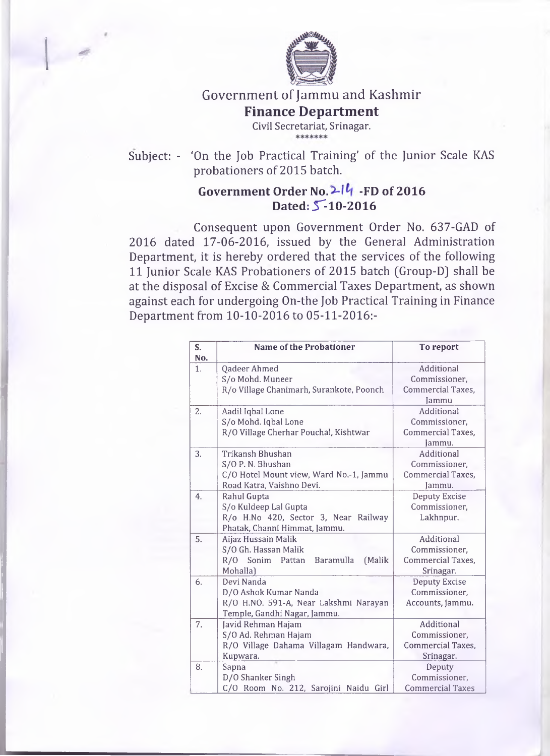

 $\overline{\phantom{a}}$ 

## Government of Jammu and Kashmir **Finance Department Civil Secretariat, Srinagar.**

Subject: - 'On the Job Practical Training' of the Junior Scale KAS probationers of 2015 batch.

## Government Order No. 2<sup>14</sup> -FD of 2016 **Dated: 5^-10-2016**

Consequent upon Government Order No. 637-GAD of 2016 dated 17-06-2016, issued by the General Administration Department, it is hereby ordered that the services of the following 11 Junior Scale KAS Probationers of 2015 batch (Group-D) shall be at the disposal of Excise & Commercial Taxes Department, as shown against each for undergoing On-the Job Practical Training in Finance Department from 10-10-2016 to 05-11-2016:-

| S.<br>No. | <b>Name of the Probationer</b>             | To report                |
|-----------|--------------------------------------------|--------------------------|
| 1.        | Qadeer Ahmed                               | Additional               |
|           | S/o Mohd. Muneer                           | Commissioner,            |
|           | R/o Village Chanimarh, Surankote, Poonch   | Commercial Taxes,        |
|           |                                            | <b>Jammu</b>             |
| 2.        | Aadil Iqbal Lone                           | Additional               |
|           | S/o Mohd. Iqbal Lone                       | Commissioner,            |
|           | R/O Village Cherhar Pouchal, Kishtwar      | <b>Commercial Taxes,</b> |
|           |                                            | Jammu.                   |
| 3.        | Trikansh Bhushan                           | Additional               |
|           | S/O P. N. Bhushan                          | Commissioner,            |
|           | C/O Hotel Mount view, Ward No.-1, Jammu    | Commercial Taxes,        |
|           | Road Katra, Vaishno Devi.                  | Jammu.                   |
| 4.        | Rahul Gupta                                | <b>Deputy Excise</b>     |
|           | S/o Kuldeep Lal Gupta                      | Commissioner,            |
|           | R/o H.No 420, Sector 3, Near Railway       | Lakhnpur.                |
|           | Phatak, Channi Himmat, Jammu.              |                          |
| 5.        | Aijaz Hussain Malik                        | Additional               |
|           | S/O Gh. Hassan Malik                       | Commissioner,            |
|           | R/O Sonim<br>Baramulla<br>(Malik<br>Pattan | Commercial Taxes,        |
|           | Mohalla)                                   | Srinagar.                |
| 6.        | Devi Nanda                                 | <b>Deputy Excise</b>     |
|           | D/O Ashok Kumar Nanda                      | Commissioner,            |
|           | R/O H.NO. 591-A, Near Lakshmi Narayan      | Accounts, Jammu.         |
|           | Temple, Gandhi Nagar, Jammu.               |                          |
| 7.        | Javid Rehman Hajam                         | Additional               |
|           | S/O Ad. Rehman Hajam                       | Commissioner,            |
|           | R/O Village Dahama Villagam Handwara,      | <b>Commercial Taxes,</b> |
|           | Kupwara.                                   | Srinagar.                |
| 8.        | Sapna                                      | Deputy                   |
|           | D/O Shanker Singh                          | Commissioner.            |
|           | C/O Room No. 212, Sarojini Naidu Girl      | <b>Commercial Taxes</b>  |